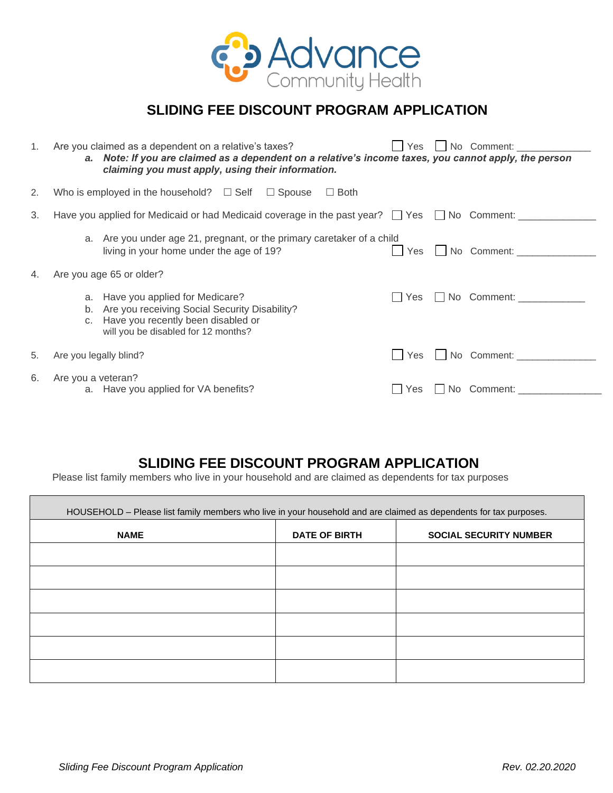

## **SLIDING FEE DISCOUNT PROGRAM APPLICATION**

| $1_{\cdot}$ | Yes   No Comment:<br>Are you claimed as a dependent on a relative's taxes?<br>a. Note: If you are claimed as a dependent on a relative's income taxes, you cannot apply, the person<br>claiming you must apply, using their information. |
|-------------|------------------------------------------------------------------------------------------------------------------------------------------------------------------------------------------------------------------------------------------|
| 2.          | Who is employed in the household? $\Box$ Self $\Box$ Spouse<br>$\Box$ Both                                                                                                                                                               |
| 3.          | Have you applied for Medicaid or had Medicaid coverage in the past year? □ Yes □ No Comment: ____________                                                                                                                                |
|             | a. Are you under age 21, pregnant, or the primary caretaker of a child<br>No Comment:<br>living in your home under the age of 19?<br>Yes                                                                                                 |
| 4.          | Are you age 65 or older?                                                                                                                                                                                                                 |
|             | No Comment:<br>a. Have you applied for Medicare?<br>l Yes<br>b. Are you receiving Social Security Disability?<br>c. Have you recently been disabled or<br>will you be disabled for 12 months?                                            |
| 5.          | No Comment:<br><b>Yes</b><br>Are you legally blind?                                                                                                                                                                                      |
| 6.          | Are you a veteran?<br>No Comment:<br>a. Have you applied for VA benefits?<br>Yes                                                                                                                                                         |

## **SLIDING FEE DISCOUNT PROGRAM APPLICATION**

Please list family members who live in your household and are claimed as dependents for tax purposes

| HOUSEHOLD - Please list family members who live in your household and are claimed as dependents for tax purposes. |                      |                               |  |
|-------------------------------------------------------------------------------------------------------------------|----------------------|-------------------------------|--|
| <b>NAME</b>                                                                                                       | <b>DATE OF BIRTH</b> | <b>SOCIAL SECURITY NUMBER</b> |  |
|                                                                                                                   |                      |                               |  |
|                                                                                                                   |                      |                               |  |
|                                                                                                                   |                      |                               |  |
|                                                                                                                   |                      |                               |  |
|                                                                                                                   |                      |                               |  |
|                                                                                                                   |                      |                               |  |
|                                                                                                                   |                      |                               |  |